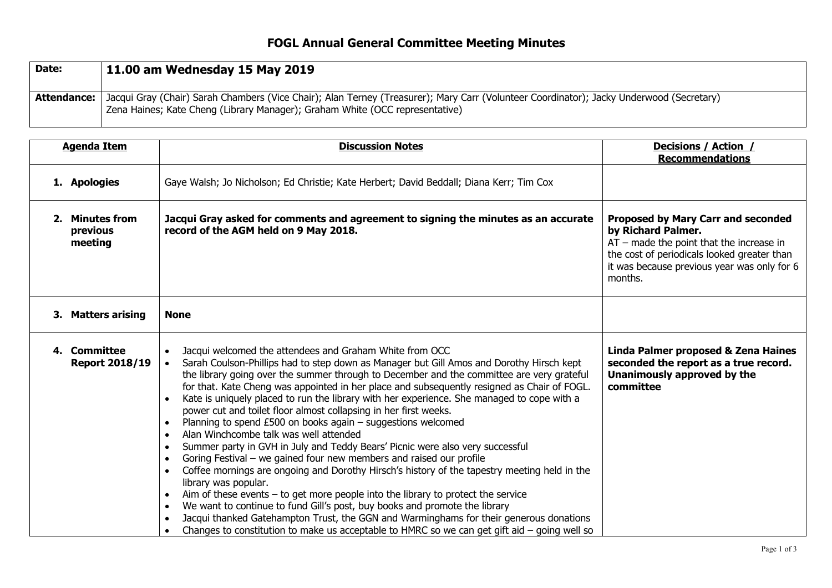## **FOGL Annual General Committee Meeting Minutes**

| Date:         | 11.00 am Wednesday 15 May 2019                                                                                                                                                                                                        |
|---------------|---------------------------------------------------------------------------------------------------------------------------------------------------------------------------------------------------------------------------------------|
| Attendance: I | Jacqui Gray (Chair) Sarah Chambers (Vice Chair); Alan Terney (Treasurer); Mary Carr (Volunteer Coordinator); Jacky Underwood (Secretary)<br><sup>1</sup> Zena Haines; Kate Cheng (Library Manager); Graham White (OCC representative) |

| <b>Agenda Item</b> |                                        | <b>Discussion Notes</b>                                                                                                                                                                                                                                                                                                                                                                                                                                                                                                                                                                                                                                                                                                                                                                                                                                                                                                                                                                                                                                                                                                                                                                                                                                                                                                                                                                                         | <b>Decisions / Action /</b><br><b>Recommendations</b>                                                                                                                                                                  |
|--------------------|----------------------------------------|-----------------------------------------------------------------------------------------------------------------------------------------------------------------------------------------------------------------------------------------------------------------------------------------------------------------------------------------------------------------------------------------------------------------------------------------------------------------------------------------------------------------------------------------------------------------------------------------------------------------------------------------------------------------------------------------------------------------------------------------------------------------------------------------------------------------------------------------------------------------------------------------------------------------------------------------------------------------------------------------------------------------------------------------------------------------------------------------------------------------------------------------------------------------------------------------------------------------------------------------------------------------------------------------------------------------------------------------------------------------------------------------------------------------|------------------------------------------------------------------------------------------------------------------------------------------------------------------------------------------------------------------------|
|                    | 1. Apologies                           | Gaye Walsh; Jo Nicholson; Ed Christie; Kate Herbert; David Beddall; Diana Kerr; Tim Cox                                                                                                                                                                                                                                                                                                                                                                                                                                                                                                                                                                                                                                                                                                                                                                                                                                                                                                                                                                                                                                                                                                                                                                                                                                                                                                                         |                                                                                                                                                                                                                        |
|                    | 2. Minutes from<br>previous<br>meeting | Jacqui Gray asked for comments and agreement to signing the minutes as an accurate<br>record of the AGM held on 9 May 2018.                                                                                                                                                                                                                                                                                                                                                                                                                                                                                                                                                                                                                                                                                                                                                                                                                                                                                                                                                                                                                                                                                                                                                                                                                                                                                     | <b>Proposed by Mary Carr and seconded</b><br>by Richard Palmer.<br>$AT$ – made the point that the increase in<br>the cost of periodicals looked greater than<br>it was because previous year was only for 6<br>months. |
|                    | 3. Matters arising                     | <b>None</b>                                                                                                                                                                                                                                                                                                                                                                                                                                                                                                                                                                                                                                                                                                                                                                                                                                                                                                                                                                                                                                                                                                                                                                                                                                                                                                                                                                                                     |                                                                                                                                                                                                                        |
|                    | 4. Committee<br><b>Report 2018/19</b>  | Jacqui welcomed the attendees and Graham White from OCC<br>Sarah Coulson-Phillips had to step down as Manager but Gill Amos and Dorothy Hirsch kept<br>$\bullet$<br>the library going over the summer through to December and the committee are very grateful<br>for that. Kate Cheng was appointed in her place and subsequently resigned as Chair of FOGL.<br>Kate is uniquely placed to run the library with her experience. She managed to cope with a<br>power cut and toilet floor almost collapsing in her first weeks.<br>Planning to spend $£500$ on books again – suggestions welcomed<br>$\bullet$<br>Alan Winchcombe talk was well attended<br>$\bullet$<br>Summer party in GVH in July and Teddy Bears' Picnic were also very successful<br>$\bullet$<br>Goring Festival – we gained four new members and raised our profile<br>$\bullet$<br>Coffee mornings are ongoing and Dorothy Hirsch's history of the tapestry meeting held in the<br>$\bullet$<br>library was popular.<br>Aim of these events $-$ to get more people into the library to protect the service<br>$\bullet$<br>We want to continue to fund Gill's post, buy books and promote the library<br>$\bullet$<br>Jacqui thanked Gatehampton Trust, the GGN and Warminghams for their generous donations<br>$\bullet$<br>Changes to constitution to make us acceptable to HMRC so we can get gift aid $-$ going well so<br>$\bullet$ | Linda Palmer proposed & Zena Haines<br>seconded the report as a true record.<br>Unanimously approved by the<br>committee                                                                                               |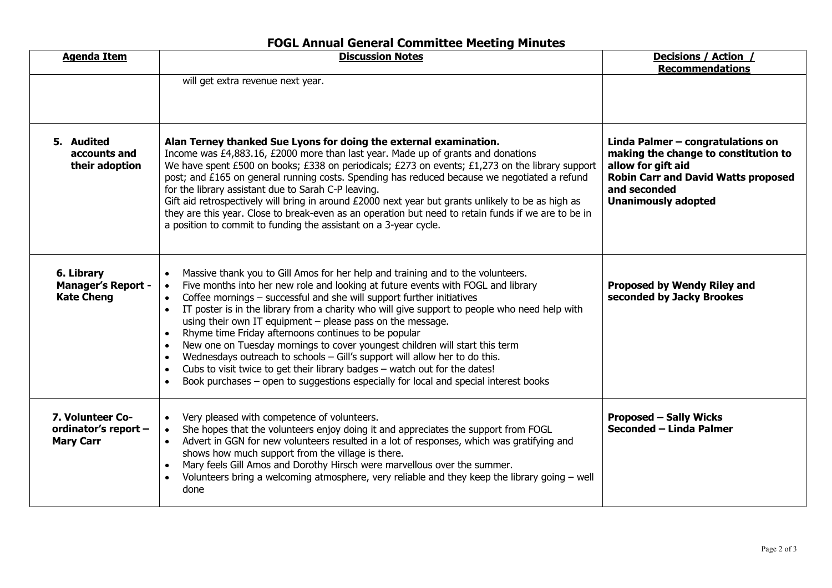## **FOGL Annual General Committee Meeting Minutes**

| <b>Agenda Item</b>                                           | <b>Discussion Notes</b>                                                                                                                                                                                                                                                                                                                                                                                                                                                                                                                                                                                                                                                                                                                                                                                                                                                                                                       | Decisions / Action /<br><b>Recommendations</b>                                                                                                                                              |
|--------------------------------------------------------------|-------------------------------------------------------------------------------------------------------------------------------------------------------------------------------------------------------------------------------------------------------------------------------------------------------------------------------------------------------------------------------------------------------------------------------------------------------------------------------------------------------------------------------------------------------------------------------------------------------------------------------------------------------------------------------------------------------------------------------------------------------------------------------------------------------------------------------------------------------------------------------------------------------------------------------|---------------------------------------------------------------------------------------------------------------------------------------------------------------------------------------------|
|                                                              | will get extra revenue next year.                                                                                                                                                                                                                                                                                                                                                                                                                                                                                                                                                                                                                                                                                                                                                                                                                                                                                             |                                                                                                                                                                                             |
| 5. Audited<br>accounts and<br>their adoption                 | Alan Terney thanked Sue Lyons for doing the external examination.<br>Income was £4,883.16, £2000 more than last year. Made up of grants and donations<br>We have spent £500 on books; £338 on periodicals; £273 on events; £1,273 on the library support<br>post; and £165 on general running costs. Spending has reduced because we negotiated a refund<br>for the library assistant due to Sarah C-P leaving.<br>Gift aid retrospectively will bring in around $£2000$ next year but grants unlikely to be as high as<br>they are this year. Close to break-even as an operation but need to retain funds if we are to be in<br>a position to commit to funding the assistant on a 3-year cycle.                                                                                                                                                                                                                            | Linda Palmer - congratulations on<br>making the change to constitution to<br>allow for gift aid<br><b>Robin Carr and David Watts proposed</b><br>and seconded<br><b>Unanimously adopted</b> |
| 6. Library<br><b>Manager's Report -</b><br><b>Kate Cheng</b> | Massive thank you to Gill Amos for her help and training and to the volunteers.<br>$\bullet$<br>Five months into her new role and looking at future events with FOGL and library<br>$\bullet$<br>Coffee mornings - successful and she will support further initiatives<br>$\bullet$<br>IT poster is in the library from a charity who will give support to people who need help with<br>$\bullet$<br>using their own IT equipment $-$ please pass on the message.<br>Rhyme time Friday afternoons continues to be popular<br>$\bullet$<br>New one on Tuesday mornings to cover youngest children will start this term<br>$\bullet$<br>Wednesdays outreach to schools - Gill's support will allow her to do this.<br>$\bullet$<br>Cubs to visit twice to get their library badges - watch out for the dates!<br>$\bullet$<br>Book purchases - open to suggestions especially for local and special interest books<br>$\bullet$ | Proposed by Wendy Riley and<br>seconded by Jacky Brookes                                                                                                                                    |
| 7. Volunteer Co-<br>ordinator's report -<br><b>Mary Carr</b> | Very pleased with competence of volunteers.<br>$\bullet$<br>She hopes that the volunteers enjoy doing it and appreciates the support from FOGL<br>Advert in GGN for new volunteers resulted in a lot of responses, which was gratifying and<br>$\bullet$<br>shows how much support from the village is there.<br>Mary feels Gill Amos and Dorothy Hirsch were marvellous over the summer.<br>Volunteers bring a welcoming atmosphere, very reliable and they keep the library going $-$ well<br>done                                                                                                                                                                                                                                                                                                                                                                                                                          | <b>Proposed - Sally Wicks</b><br>Seconded - Linda Palmer                                                                                                                                    |